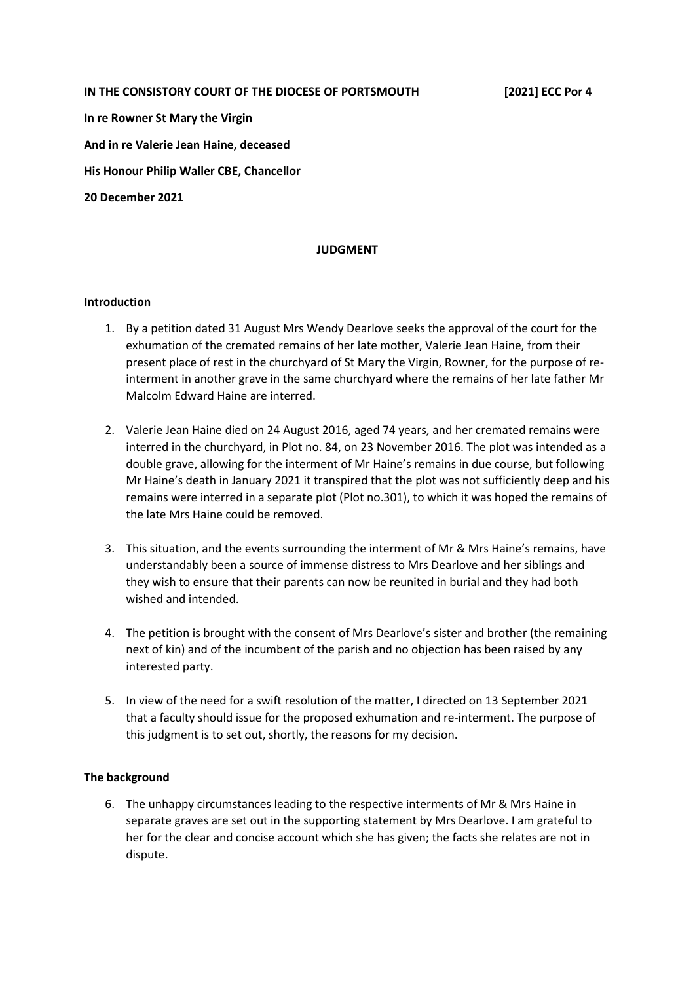#### **IN THE CONSISTORY COURT OF THE DIOCESE OF PORTSMOUTH [2021] ECC Por 4**

**In re Rowner St Mary the Virgin And in re Valerie Jean Haine, deceased His Honour Philip Waller CBE, Chancellor 20 December 2021** 

# **JUDGMENT**

#### **Introduction**

- 1. By a petition dated 31 August Mrs Wendy Dearlove seeks the approval of the court for the exhumation of the cremated remains of her late mother, Valerie Jean Haine, from their present place of rest in the churchyard of St Mary the Virgin, Rowner, for the purpose of reinterment in another grave in the same churchyard where the remains of her late father Mr Malcolm Edward Haine are interred.
- 2. Valerie Jean Haine died on 24 August 2016, aged 74 years, and her cremated remains were interred in the churchyard, in Plot no. 84, on 23 November 2016. The plot was intended as a double grave, allowing for the interment of Mr Haine's remains in due course, but following Mr Haine's death in January 2021 it transpired that the plot was not sufficiently deep and his remains were interred in a separate plot (Plot no.301), to which it was hoped the remains of the late Mrs Haine could be removed.
- 3. This situation, and the events surrounding the interment of Mr & Mrs Haine's remains, have understandably been a source of immense distress to Mrs Dearlove and her siblings and they wish to ensure that their parents can now be reunited in burial and they had both wished and intended.
- 4. The petition is brought with the consent of Mrs Dearlove's sister and brother (the remaining next of kin) and of the incumbent of the parish and no objection has been raised by any interested party.
- 5. In view of the need for a swift resolution of the matter, I directed on 13 September 2021 that a faculty should issue for the proposed exhumation and re-interment. The purpose of this judgment is to set out, shortly, the reasons for my decision.

## **The background**

6. The unhappy circumstances leading to the respective interments of Mr & Mrs Haine in separate graves are set out in the supporting statement by Mrs Dearlove. I am grateful to her for the clear and concise account which she has given; the facts she relates are not in dispute.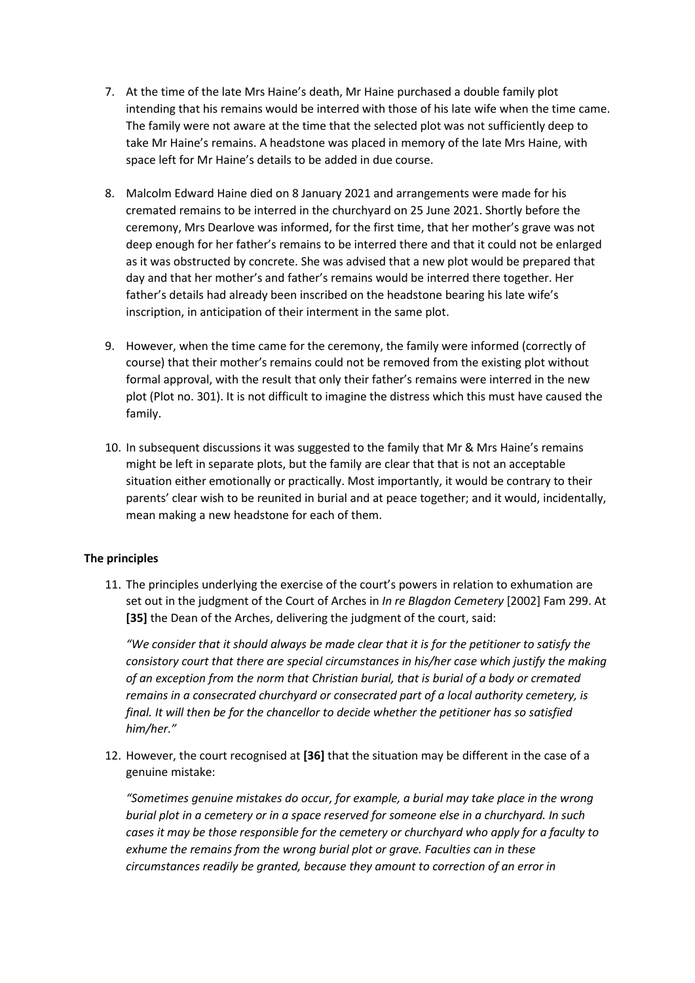- 7. At the time of the late Mrs Haine's death, Mr Haine purchased a double family plot intending that his remains would be interred with those of his late wife when the time came. The family were not aware at the time that the selected plot was not sufficiently deep to take Mr Haine's remains. A headstone was placed in memory of the late Mrs Haine, with space left for Mr Haine's details to be added in due course.
- 8. Malcolm Edward Haine died on 8 January 2021 and arrangements were made for his cremated remains to be interred in the churchyard on 25 June 2021. Shortly before the ceremony, Mrs Dearlove was informed, for the first time, that her mother's grave was not deep enough for her father's remains to be interred there and that it could not be enlarged as it was obstructed by concrete. She was advised that a new plot would be prepared that day and that her mother's and father's remains would be interred there together. Her father's details had already been inscribed on the headstone bearing his late wife's inscription, in anticipation of their interment in the same plot.
- 9. However, when the time came for the ceremony, the family were informed (correctly of course) that their mother's remains could not be removed from the existing plot without formal approval, with the result that only their father's remains were interred in the new plot (Plot no. 301). It is not difficult to imagine the distress which this must have caused the family.
- 10. In subsequent discussions it was suggested to the family that Mr & Mrs Haine's remains might be left in separate plots, but the family are clear that that is not an acceptable situation either emotionally or practically. Most importantly, it would be contrary to their parents' clear wish to be reunited in burial and at peace together; and it would, incidentally, mean making a new headstone for each of them.

## **The principles**

11. The principles underlying the exercise of the court's powers in relation to exhumation are set out in the judgment of the Court of Arches in *In re Blagdon Cemetery* [2002] Fam 299. At **[35]** the Dean of the Arches, delivering the judgment of the court, said:

*"We consider that it should always be made clear that it is for the petitioner to satisfy the consistory court that there are special circumstances in his/her case which justify the making of an exception from the norm that Christian burial, that is burial of a body or cremated remains in a consecrated churchyard or consecrated part of a local authority cemetery, is final. It will then be for the chancellor to decide whether the petitioner has so satisfied him/her."* 

12. However, the court recognised at **[36]** that the situation may be different in the case of a genuine mistake:

*"Sometimes genuine mistakes do occur, for example, a burial may take place in the wrong burial plot in a cemetery or in a space reserved for someone else in a churchyard. In such cases it may be those responsible for the cemetery or churchyard who apply for a faculty to exhume the remains from the wrong burial plot or grave. Faculties can in these circumstances readily be granted, because they amount to correction of an error in*